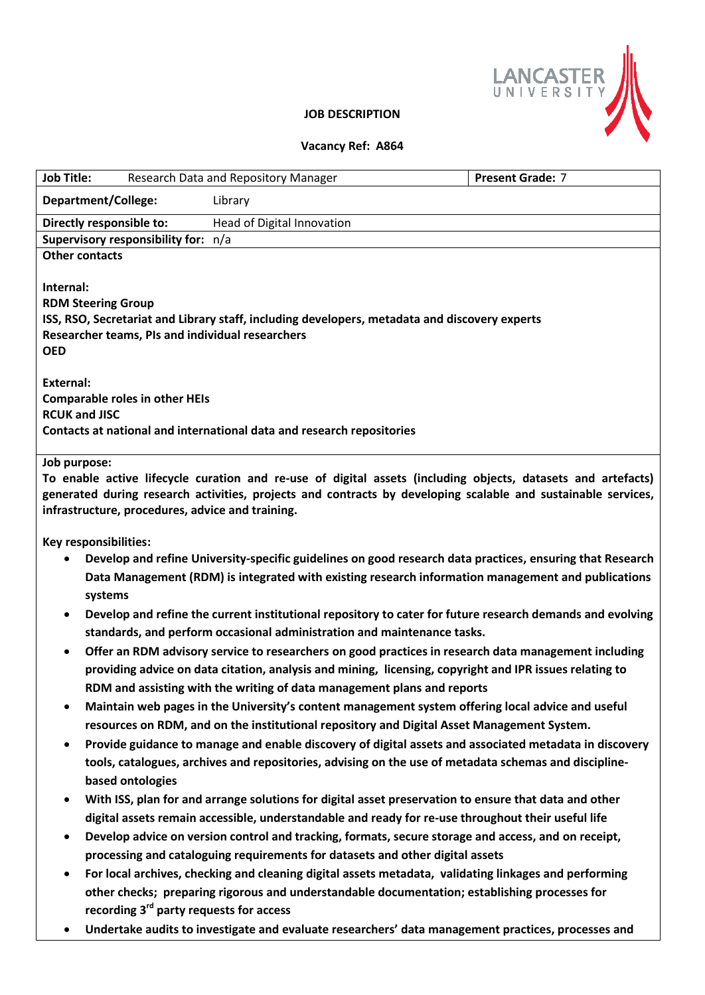

## **JOB DESCRIPTION**

## **Vacancy Ref: A864**

| <b>Job Title:</b>                                                                                                                                                                                               | Research Data and Repository Manager                                                                  | <b>Present Grade: 7</b>                                                                                |  |
|-----------------------------------------------------------------------------------------------------------------------------------------------------------------------------------------------------------------|-------------------------------------------------------------------------------------------------------|--------------------------------------------------------------------------------------------------------|--|
| <b>Department/College:</b>                                                                                                                                                                                      | Library                                                                                               |                                                                                                        |  |
| Directly responsible to:<br>Head of Digital Innovation                                                                                                                                                          |                                                                                                       |                                                                                                        |  |
| Supervisory responsibility for: n/a                                                                                                                                                                             |                                                                                                       |                                                                                                        |  |
| <b>Other contacts</b><br>Internal:                                                                                                                                                                              |                                                                                                       |                                                                                                        |  |
| <b>RDM Steering Group</b>                                                                                                                                                                                       |                                                                                                       |                                                                                                        |  |
| ISS, RSO, Secretariat and Library staff, including developers, metadata and discovery experts                                                                                                                   |                                                                                                       |                                                                                                        |  |
| Researcher teams, PIs and individual researchers                                                                                                                                                                |                                                                                                       |                                                                                                        |  |
| <b>OED</b>                                                                                                                                                                                                      |                                                                                                       |                                                                                                        |  |
|                                                                                                                                                                                                                 |                                                                                                       |                                                                                                        |  |
| <b>External:</b><br><b>Comparable roles in other HEIs</b>                                                                                                                                                       |                                                                                                       |                                                                                                        |  |
| <b>RCUK and JISC</b>                                                                                                                                                                                            |                                                                                                       |                                                                                                        |  |
| Contacts at national and international data and research repositories                                                                                                                                           |                                                                                                       |                                                                                                        |  |
|                                                                                                                                                                                                                 |                                                                                                       |                                                                                                        |  |
| Job purpose:<br>To enable active lifecycle curation and re-use of digital assets (including objects, datasets and artefacts)                                                                                    |                                                                                                       |                                                                                                        |  |
| generated during research activities, projects and contracts by developing scalable and sustainable services,                                                                                                   |                                                                                                       |                                                                                                        |  |
| infrastructure, procedures, advice and training.                                                                                                                                                                |                                                                                                       |                                                                                                        |  |
|                                                                                                                                                                                                                 |                                                                                                       |                                                                                                        |  |
| Key responsibilities:                                                                                                                                                                                           |                                                                                                       |                                                                                                        |  |
| Develop and refine University-specific guidelines on good research data practices, ensuring that Research<br>Data Management (RDM) is integrated with existing research information management and publications |                                                                                                       |                                                                                                        |  |
| systems                                                                                                                                                                                                         |                                                                                                       |                                                                                                        |  |
| Develop and refine the current institutional repository to cater for future research demands and evolving<br>$\bullet$                                                                                          |                                                                                                       |                                                                                                        |  |
| standards, and perform occasional administration and maintenance tasks.                                                                                                                                         |                                                                                                       |                                                                                                        |  |
| Offer an RDM advisory service to researchers on good practices in research data management including<br>$\bullet$                                                                                               |                                                                                                       |                                                                                                        |  |
| providing advice on data citation, analysis and mining, licensing, copyright and IPR issues relating to                                                                                                         |                                                                                                       |                                                                                                        |  |
|                                                                                                                                                                                                                 | RDM and assisting with the writing of data management plans and reports                               |                                                                                                        |  |
| ٠                                                                                                                                                                                                               | Maintain web pages in the University's content management system offering local advice and useful     |                                                                                                        |  |
|                                                                                                                                                                                                                 | resources on RDM, and on the institutional repository and Digital Asset Management System.            |                                                                                                        |  |
| ٠                                                                                                                                                                                                               |                                                                                                       | Provide guidance to manage and enable discovery of digital assets and associated metadata in discovery |  |
|                                                                                                                                                                                                                 |                                                                                                       | tools, catalogues, archives and repositories, advising on the use of metadata schemas and discipline-  |  |
| based ontologies                                                                                                                                                                                                |                                                                                                       |                                                                                                        |  |
| $\bullet$                                                                                                                                                                                                       | With ISS, plan for and arrange solutions for digital asset preservation to ensure that data and other |                                                                                                        |  |
|                                                                                                                                                                                                                 | digital assets remain accessible, understandable and ready for re-use throughout their useful life    |                                                                                                        |  |
| $\bullet$                                                                                                                                                                                                       | Develop advice on version control and tracking, formats, secure storage and access, and on receipt,   |                                                                                                        |  |
|                                                                                                                                                                                                                 | processing and cataloguing requirements for datasets and other digital assets                         |                                                                                                        |  |
| $\bullet$                                                                                                                                                                                                       | For local archives, checking and cleaning digital assets metadata, validating linkages and performing |                                                                                                        |  |
|                                                                                                                                                                                                                 | other checks; preparing rigorous and understandable documentation; establishing processes for         |                                                                                                        |  |
|                                                                                                                                                                                                                 | recording 3 <sup>rd</sup> party requests for access                                                   |                                                                                                        |  |

**Undertake audits to investigate and evaluate researchers' data management practices, processes and**